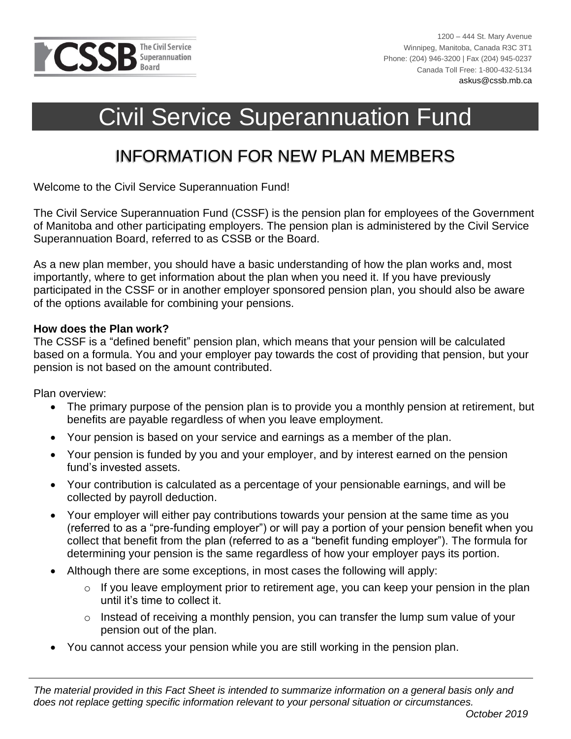

# Civil Service Superannuation Fund

# INFORMATION FOR NEW PLAN MEMBERS

Welcome to the Civil Service Superannuation Fund!

The Civil Service Superannuation Fund (CSSF) is the pension plan for employees of the Government of Manitoba and other participating employers. The pension plan is administered by the Civil Service Superannuation Board, referred to as CSSB or the Board.

As a new plan member, you should have a basic understanding of how the plan works and, most importantly, where to get information about the plan when you need it. If you have previously participated in the CSSF or in another employer sponsored pension plan, you should also be aware of the options available for combining your pensions.

#### **How does the Plan work?**

The CSSF is a "defined benefit" pension plan, which means that your pension will be calculated based on a formula. You and your employer pay towards the cost of providing that pension, but your pension is not based on the amount contributed.

Plan overview:

- The primary purpose of the pension plan is to provide you a monthly pension at retirement, but benefits are payable regardless of when you leave employment.
- Your pension is based on your service and earnings as a member of the plan.
- Your pension is funded by you and your employer, and by interest earned on the pension fund's invested assets.
- Your contribution is calculated as a percentage of your pensionable earnings, and will be collected by payroll deduction.
- Your employer will either pay contributions towards your pension at the same time as you (referred to as a "pre-funding employer") or will pay a portion of your pension benefit when you collect that benefit from the plan (referred to as a "benefit funding employer"). The formula for determining your pension is the same regardless of how your employer pays its portion.
- Although there are some exceptions, in most cases the following will apply:
	- o If you leave employment prior to retirement age, you can keep your pension in the plan until it's time to collect it.
	- o Instead of receiving a monthly pension, you can transfer the lump sum value of your pension out of the plan.
- You cannot access your pension while you are still working in the pension plan.

*The material provided in this Fact Sheet is intended to summarize information on a general basis only and does not replace getting specific information relevant to your personal situation or circumstances.*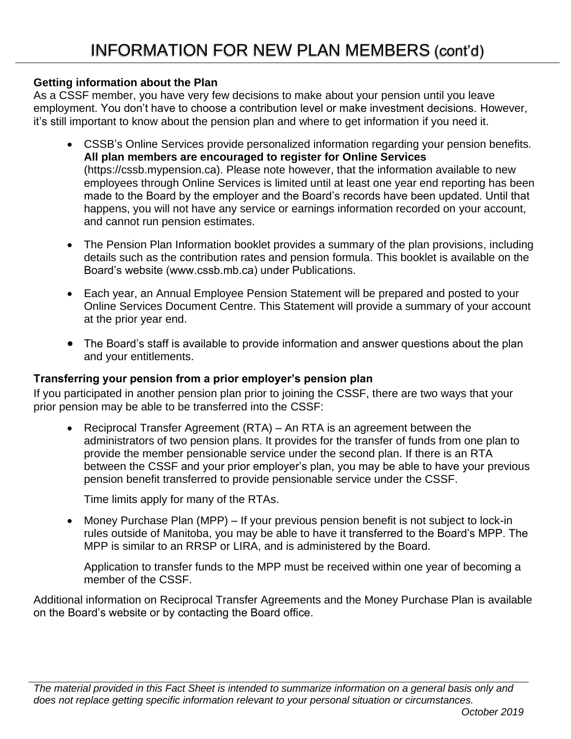#### **Getting information about the Plan**

As a CSSF member, you have very few decisions to make about your pension until you leave employment. You don't have to choose a contribution level or make investment decisions. However, it's still important to know about the pension plan and where to get information if you need it.

- CSSB's Online Services provide personalized information regarding your pension benefits. **All plan members are encouraged to register for Online Services** (https://cssb.mypension.ca). Please note however, that the information available to new employees through Online Services is limited until at least one year end reporting has been made to the Board by the employer and the Board's records have been updated. Until that happens, you will not have any service or earnings information recorded on your account, and cannot run pension estimates.
- The Pension Plan Information booklet provides a summary of the plan provisions, including details such as the contribution rates and pension formula. This booklet is available on the Board's website (www.cssb.mb.ca) under Publications.
- Each year, an Annual Employee Pension Statement will be prepared and posted to your Online Services Document Centre. This Statement will provide a summary of your account at the prior year end.
- The Board's staff is available to provide information and answer questions about the plan and your entitlements.

# **Transferring your pension from a prior employer's pension plan**

If you participated in another pension plan prior to joining the CSSF, there are two ways that your prior pension may be able to be transferred into the CSSF:

• Reciprocal Transfer Agreement (RTA) – An RTA is an agreement between the administrators of two pension plans. It provides for the transfer of funds from one plan to provide the member pensionable service under the second plan. If there is an RTA between the CSSF and your prior employer's plan, you may be able to have your previous pension benefit transferred to provide pensionable service under the CSSF.

Time limits apply for many of the RTAs.

• Money Purchase Plan (MPP) – If your previous pension benefit is not subject to lock-in rules outside of Manitoba, you may be able to have it transferred to the Board's MPP. The MPP is similar to an RRSP or LIRA, and is administered by the Board.

Application to transfer funds to the MPP must be received within one year of becoming a member of the CSSF.

Additional information on Reciprocal Transfer Agreements and the Money Purchase Plan is available on the Board's website or by contacting the Board office.

*The material provided in this Fact Sheet is intended to summarize information on a general basis only and does not replace getting specific information relevant to your personal situation or circumstances.*